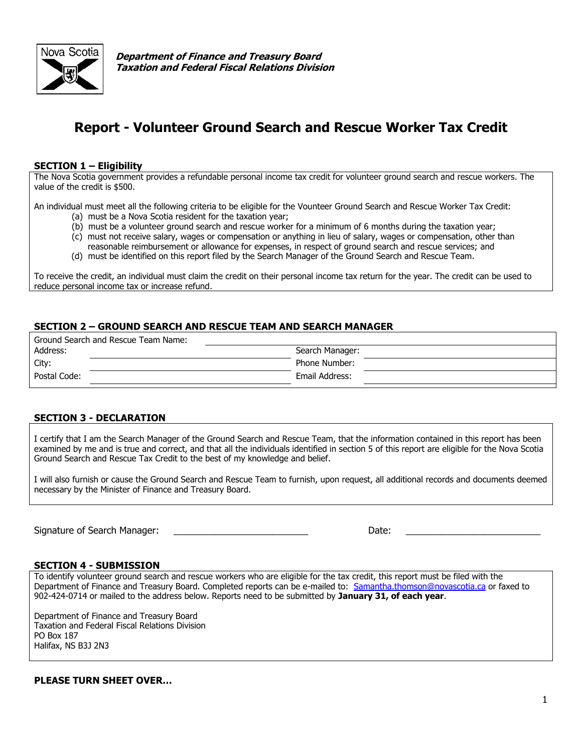

**Department of Finance and Treasury Board Taxation and Federal Fiscal Relations Division**

# **Report - Volunteer Ground Search and Rescue Worker Tax Credit**

#### **SECTION 1 – Eligibility**

The Nova Scotia government provides a refundable personal income tax credit for volunteer ground search and rescue workers. The value of the credit is \$500.

An individual must meet all the following criteria to be eligible for the Vounteer Ground Search and Rescue Worker Tax Credit:

- (a) must be a Nova Scotia resident for the taxation year;
- (b) must be a volunteer ground search and rescue worker for a minimum of 6 months during the taxation year;
- (c) must not receive salary, wages or compensation or anything in lieu of salary, wages or compensation, other than reasonable reimbursement or allowance for expenses, in respect of ground search and rescue services; and
- (d) must be identified on this report filed by the Search Manager of the Ground Search and Rescue Team.

To receive the credit, an individual must claim the credit on their personal income tax return for the year. The credit can be used to reduce personal income tax or increase refund.

### **SECTION 2 – GROUND SEARCH AND RESCUE TEAM AND SEARCH MANAGER**

| Ground Search and Rescue Team Name: |                 |
|-------------------------------------|-----------------|
| Address:                            | Search Manager: |
| City:                               | Phone Number:   |
| Postal Code:                        | Email Address:  |

#### **SECTION 3 - DECLARATION**

I certify that I am the Search Manager of the Ground Search and Rescue Team, that the information contained in this report has been examined by me and is true and correct, and that all the individuals identified in section 5 of this report are eligible for the Nova Scotia Ground Search and Rescue Tax Credit to the best of my knowledge and belief.

I will also furnish or cause the Ground Search and Rescue Team to furnish, upon request, all additional records and documents deemed necessary by the Minister of Finance and Treasury Board.

Signature of Search Manager: \_\_\_\_\_\_\_\_\_\_\_\_\_\_\_\_\_\_\_\_\_\_\_\_\_\_ Date: \_\_\_\_\_\_\_\_\_\_\_\_\_\_\_\_\_\_\_\_\_\_\_\_\_\_

#### **SECTION 4 - SUBMISSION**

To identify volunteer ground search and rescue workers who are eligible for the tax credit, this report must be filed with the Department of Finance and Treasury Board. Completed reports can be e-mailed to: [Samantha.thomson@novascotia.ca](mailto:Samantha.thomson@novascotia.ca) or faxed to 902-424-0714 or mailed to the address below. Reports need to be submitted by **January 31, of each year**.

Department of Finance and Treasury Board Taxation and Federal Fiscal Relations Division PO Box 187 Halifax, NS B3J 2N3

**PLEASE TURN SHEET OVER…**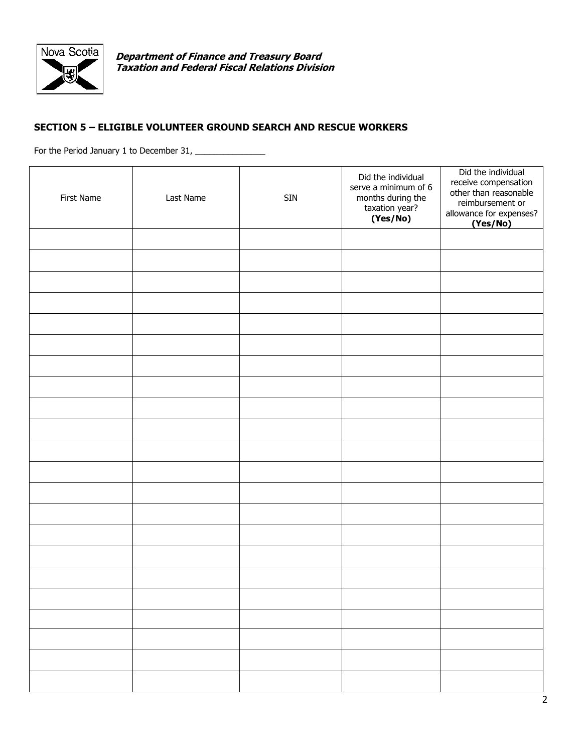

**Department of Finance and Treasury Board Taxation and Federal Fiscal Relations Division**

## **SECTION 5 – ELIGIBLE VOLUNTEER GROUND SEARCH AND RESCUE WORKERS**

For the Period January 1 to December 31, \_\_\_\_\_\_\_\_\_\_\_\_\_\_\_

| First Name | Last Name | <b>SIN</b> | Did the individual<br>serve a minimum of 6<br>months during the<br>taxation year?<br>(Yes/No) | Did the individual<br>receive compensation<br>other than reasonable<br>reimbursement or<br>allowance for expenses?<br>(Yes/No) |
|------------|-----------|------------|-----------------------------------------------------------------------------------------------|--------------------------------------------------------------------------------------------------------------------------------|
|            |           |            |                                                                                               |                                                                                                                                |
|            |           |            |                                                                                               |                                                                                                                                |
|            |           |            |                                                                                               |                                                                                                                                |
|            |           |            |                                                                                               |                                                                                                                                |
|            |           |            |                                                                                               |                                                                                                                                |
|            |           |            |                                                                                               |                                                                                                                                |
|            |           |            |                                                                                               |                                                                                                                                |
|            |           |            |                                                                                               |                                                                                                                                |
|            |           |            |                                                                                               |                                                                                                                                |
|            |           |            |                                                                                               |                                                                                                                                |
|            |           |            |                                                                                               |                                                                                                                                |
|            |           |            |                                                                                               |                                                                                                                                |
|            |           |            |                                                                                               |                                                                                                                                |
|            |           |            |                                                                                               |                                                                                                                                |
|            |           |            |                                                                                               |                                                                                                                                |
|            |           |            |                                                                                               |                                                                                                                                |
|            |           |            |                                                                                               |                                                                                                                                |
|            |           |            |                                                                                               |                                                                                                                                |
|            |           |            |                                                                                               |                                                                                                                                |
|            |           |            |                                                                                               |                                                                                                                                |
|            |           |            |                                                                                               |                                                                                                                                |
|            |           |            |                                                                                               |                                                                                                                                |